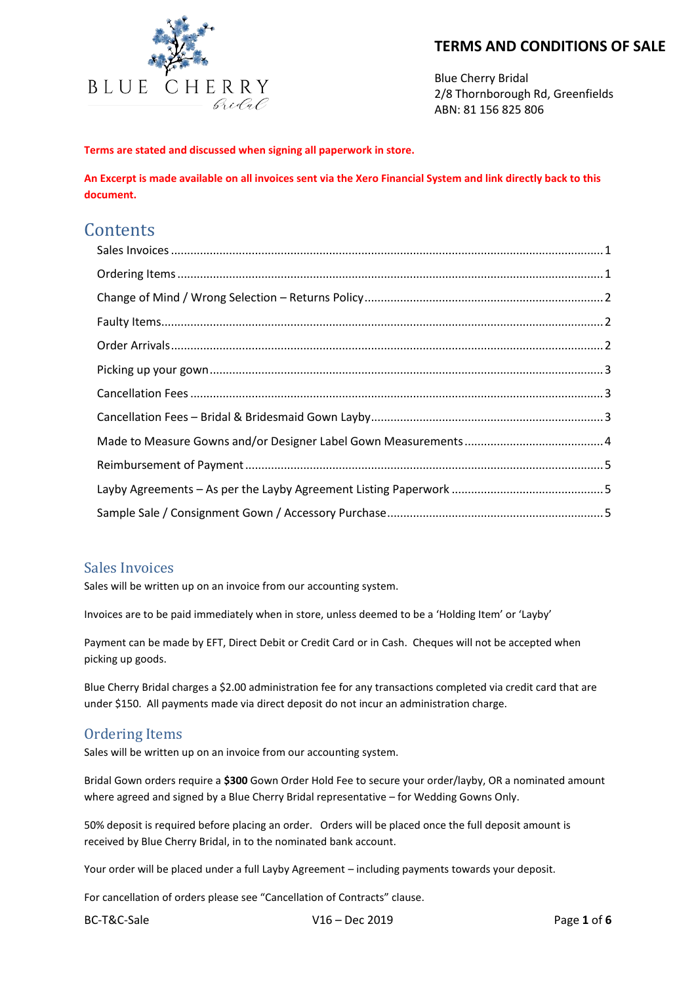

Blue Cherry Bridal 2/8 Thornborough Rd, Greenfields ABN: 81 156 825 806

**Terms are stated and discussed when signing all paperwork in store.**

**An Excerpt is made available on all invoices sent via the Xero Financial System and link directly back to this document.**

# **Contents**

#### <span id="page-0-0"></span>Sales Invoices

Sales will be written up on an invoice from our accounting system.

Invoices are to be paid immediately when in store, unless deemed to be a 'Holding Item' or 'Layby'

Payment can be made by EFT, Direct Debit or Credit Card or in Cash. Cheques will not be accepted when picking up goods.

Blue Cherry Bridal charges a \$2.00 administration fee for any transactions completed via credit card that are under \$150. All payments made via direct deposit do not incur an administration charge.

#### <span id="page-0-1"></span>Ordering Items

Sales will be written up on an invoice from our accounting system.

Bridal Gown orders require a **\$300** Gown Order Hold Fee to secure your order/layby, OR a nominated amount where agreed and signed by a Blue Cherry Bridal representative – for Wedding Gowns Only.

50% deposit is required before placing an order. Orders will be placed once the full deposit amount is received by Blue Cherry Bridal, in to the nominated bank account.

Your order will be placed under a full Layby Agreement – including payments towards your deposit.

For cancellation of orders please see "Cancellation of Contracts" clause.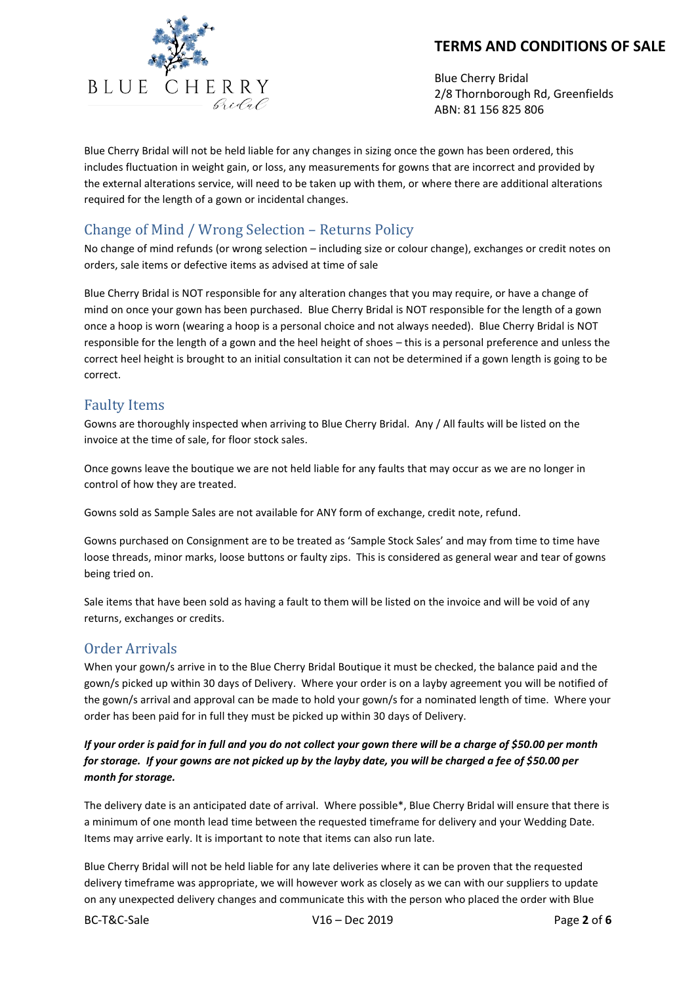

Blue Cherry Bridal 2/8 Thornborough Rd, Greenfields ABN: 81 156 825 806

Blue Cherry Bridal will not be held liable for any changes in sizing once the gown has been ordered, this includes fluctuation in weight gain, or loss, any measurements for gowns that are incorrect and provided by the external alterations service, will need to be taken up with them, or where there are additional alterations required for the length of a gown or incidental changes.

# <span id="page-1-0"></span>Change of Mind / Wrong Selection – Returns Policy

No change of mind refunds (or wrong selection – including size or colour change), exchanges or credit notes on orders, sale items or defective items as advised at time of sale

Blue Cherry Bridal is NOT responsible for any alteration changes that you may require, or have a change of mind on once your gown has been purchased. Blue Cherry Bridal is NOT responsible for the length of a gown once a hoop is worn (wearing a hoop is a personal choice and not always needed). Blue Cherry Bridal is NOT responsible for the length of a gown and the heel height of shoes – this is a personal preference and unless the correct heel height is brought to an initial consultation it can not be determined if a gown length is going to be correct.

## <span id="page-1-1"></span>Faulty Items

Gowns are thoroughly inspected when arriving to Blue Cherry Bridal. Any / All faults will be listed on the invoice at the time of sale, for floor stock sales.

Once gowns leave the boutique we are not held liable for any faults that may occur as we are no longer in control of how they are treated.

Gowns sold as Sample Sales are not available for ANY form of exchange, credit note, refund.

Gowns purchased on Consignment are to be treated as 'Sample Stock Sales' and may from time to time have loose threads, minor marks, loose buttons or faulty zips. This is considered as general wear and tear of gowns being tried on.

Sale items that have been sold as having a fault to them will be listed on the invoice and will be void of any returns, exchanges or credits.

#### <span id="page-1-2"></span>Order Arrivals

When your gown/s arrive in to the Blue Cherry Bridal Boutique it must be checked, the balance paid and the gown/s picked up within 30 days of Delivery. Where your order is on a layby agreement you will be notified of the gown/s arrival and approval can be made to hold your gown/s for a nominated length of time. Where your order has been paid for in full they must be picked up within 30 days of Delivery.

#### *If your order is paid for in full and you do not collect your gown there will be a charge of \$50.00 per month for storage. If your gowns are not picked up by the layby date, you will be charged a fee of \$50.00 per month for storage.*

The delivery date is an anticipated date of arrival. Where possible\*, Blue Cherry Bridal will ensure that there is a minimum of one month lead time between the requested timeframe for delivery and your Wedding Date. Items may arrive early. It is important to note that items can also run late.

Blue Cherry Bridal will not be held liable for any late deliveries where it can be proven that the requested delivery timeframe was appropriate, we will however work as closely as we can with our suppliers to update on any unexpected delivery changes and communicate this with the person who placed the order with Blue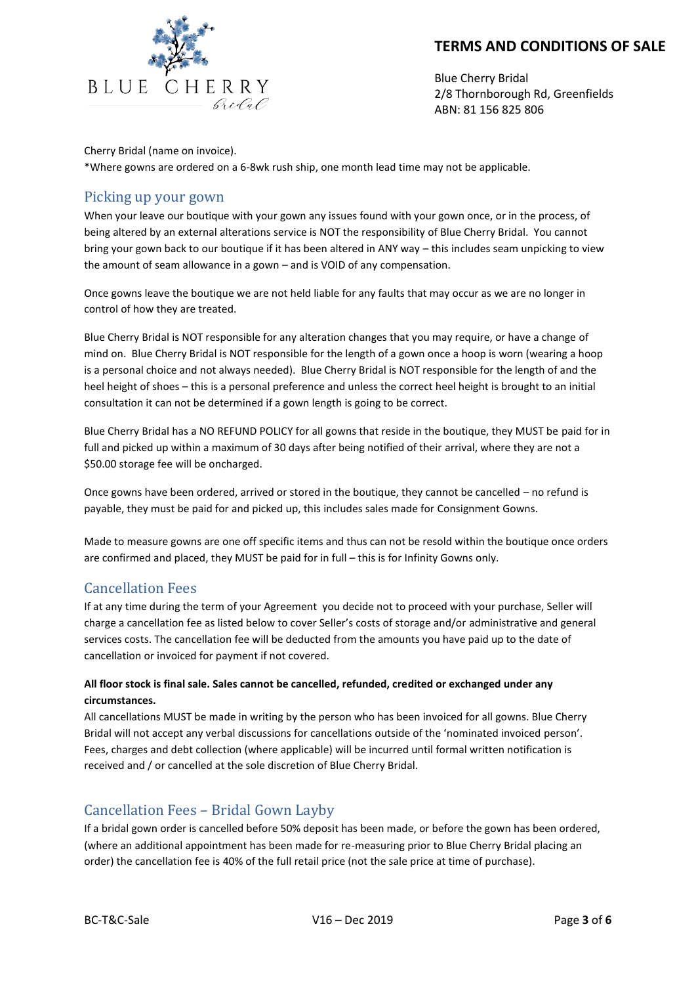

Blue Cherry Bridal 2/8 Thornborough Rd, Greenfields ABN: 81 156 825 806

Cherry Bridal (name on invoice).

\*Where gowns are ordered on a 6-8wk rush ship, one month lead time may not be applicable.

#### <span id="page-2-0"></span>Picking up your gown

When your leave our boutique with your gown any issues found with your gown once, or in the process, of being altered by an external alterations service is NOT the responsibility of Blue Cherry Bridal. You cannot bring your gown back to our boutique if it has been altered in ANY way – this includes seam unpicking to view the amount of seam allowance in a gown – and is VOID of any compensation.

Once gowns leave the boutique we are not held liable for any faults that may occur as we are no longer in control of how they are treated.

Blue Cherry Bridal is NOT responsible for any alteration changes that you may require, or have a change of mind on. Blue Cherry Bridal is NOT responsible for the length of a gown once a hoop is worn (wearing a hoop is a personal choice and not always needed). Blue Cherry Bridal is NOT responsible for the length of and the heel height of shoes – this is a personal preference and unless the correct heel height is brought to an initial consultation it can not be determined if a gown length is going to be correct.

Blue Cherry Bridal has a NO REFUND POLICY for all gowns that reside in the boutique, they MUST be paid for in full and picked up within a maximum of 30 days after being notified of their arrival, where they are not a \$50.00 storage fee will be oncharged.

Once gowns have been ordered, arrived or stored in the boutique, they cannot be cancelled – no refund is payable, they must be paid for and picked up, this includes sales made for Consignment Gowns.

Made to measure gowns are one off specific items and thus can not be resold within the boutique once orders are confirmed and placed, they MUST be paid for in full – this is for Infinity Gowns only.

## <span id="page-2-1"></span>Cancellation Fees

If at any time during the term of your Agreement you decide not to proceed with your purchase, Seller will charge a cancellation fee as listed below to cover Seller's costs of storage and/or administrative and general services costs. The cancellation fee will be deducted from the amounts you have paid up to the date of cancellation or invoiced for payment if not covered.

#### **All floor stock is final sale. Sales cannot be cancelled, refunded, credited or exchanged under any circumstances.**

All cancellations MUST be made in writing by the person who has been invoiced for all gowns. Blue Cherry Bridal will not accept any verbal discussions for cancellations outside of the 'nominated invoiced person'. Fees, charges and debt collection (where applicable) will be incurred until formal written notification is received and / or cancelled at the sole discretion of Blue Cherry Bridal.

## <span id="page-2-2"></span>Cancellation Fees – Bridal Gown Layby

If a bridal gown order is cancelled before 50% deposit has been made, or before the gown has been ordered, (where an additional appointment has been made for re-measuring prior to Blue Cherry Bridal placing an order) the cancellation fee is 40% of the full retail price (not the sale price at time of purchase).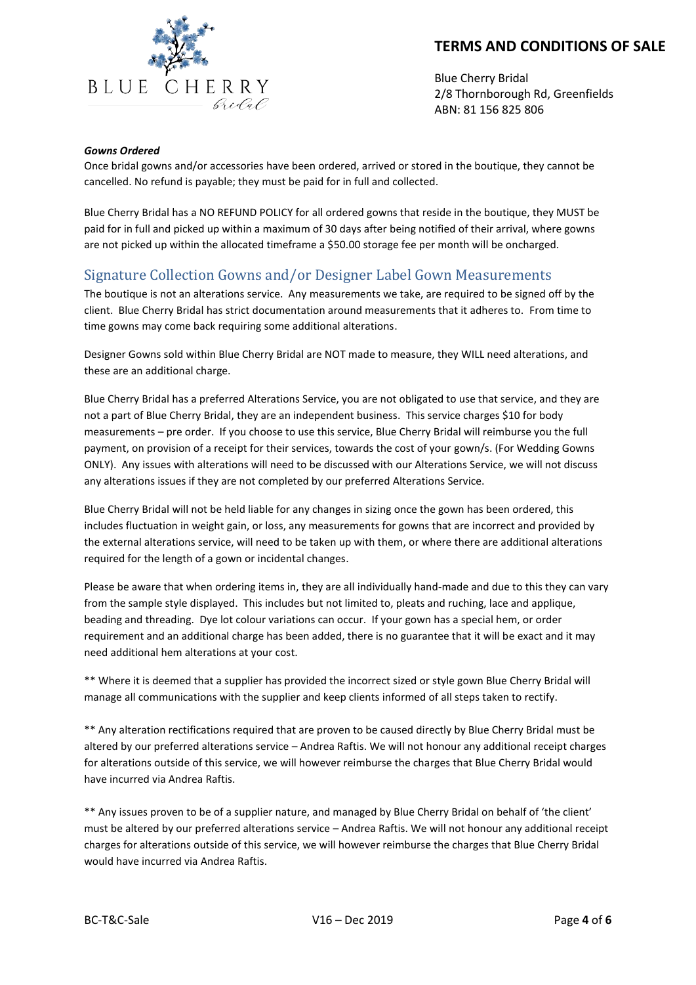

Blue Cherry Bridal 2/8 Thornborough Rd, Greenfields ABN: 81 156 825 806

#### *Gowns Ordered*

Once bridal gowns and/or accessories have been ordered, arrived or stored in the boutique, they cannot be cancelled. No refund is payable; they must be paid for in full and collected.

Blue Cherry Bridal has a NO REFUND POLICY for all ordered gowns that reside in the boutique, they MUST be paid for in full and picked up within a maximum of 30 days after being notified of their arrival, where gowns are not picked up within the allocated timeframe a \$50.00 storage fee per month will be oncharged.

## <span id="page-3-0"></span>Signature Collection Gowns and/or Designer Label Gown Measurements

The boutique is not an alterations service. Any measurements we take, are required to be signed off by the client. Blue Cherry Bridal has strict documentation around measurements that it adheres to. From time to time gowns may come back requiring some additional alterations.

Designer Gowns sold within Blue Cherry Bridal are NOT made to measure, they WILL need alterations, and these are an additional charge.

Blue Cherry Bridal has a preferred Alterations Service, you are not obligated to use that service, and they are not a part of Blue Cherry Bridal, they are an independent business. This service charges \$10 for body measurements – pre order. If you choose to use this service, Blue Cherry Bridal will reimburse you the full payment, on provision of a receipt for their services, towards the cost of your gown/s. (For Wedding Gowns ONLY). Any issues with alterations will need to be discussed with our Alterations Service, we will not discuss any alterations issues if they are not completed by our preferred Alterations Service.

Blue Cherry Bridal will not be held liable for any changes in sizing once the gown has been ordered, this includes fluctuation in weight gain, or loss, any measurements for gowns that are incorrect and provided by the external alterations service, will need to be taken up with them, or where there are additional alterations required for the length of a gown or incidental changes.

Please be aware that when ordering items in, they are all individually hand-made and due to this they can vary from the sample style displayed. This includes but not limited to, pleats and ruching, lace and applique, beading and threading. Dye lot colour variations can occur. If your gown has a special hem, or order requirement and an additional charge has been added, there is no guarantee that it will be exact and it may need additional hem alterations at your cost.

\*\* Where it is deemed that a supplier has provided the incorrect sized or style gown Blue Cherry Bridal will manage all communications with the supplier and keep clients informed of all steps taken to rectify.

\*\* Any alteration rectifications required that are proven to be caused directly by Blue Cherry Bridal must be altered by our preferred alterations service – Andrea Raftis. We will not honour any additional receipt charges for alterations outside of this service, we will however reimburse the charges that Blue Cherry Bridal would have incurred via Andrea Raftis.

\*\* Any issues proven to be of a supplier nature, and managed by Blue Cherry Bridal on behalf of 'the client' must be altered by our preferred alterations service – Andrea Raftis. We will not honour any additional receipt charges for alterations outside of this service, we will however reimburse the charges that Blue Cherry Bridal would have incurred via Andrea Raftis.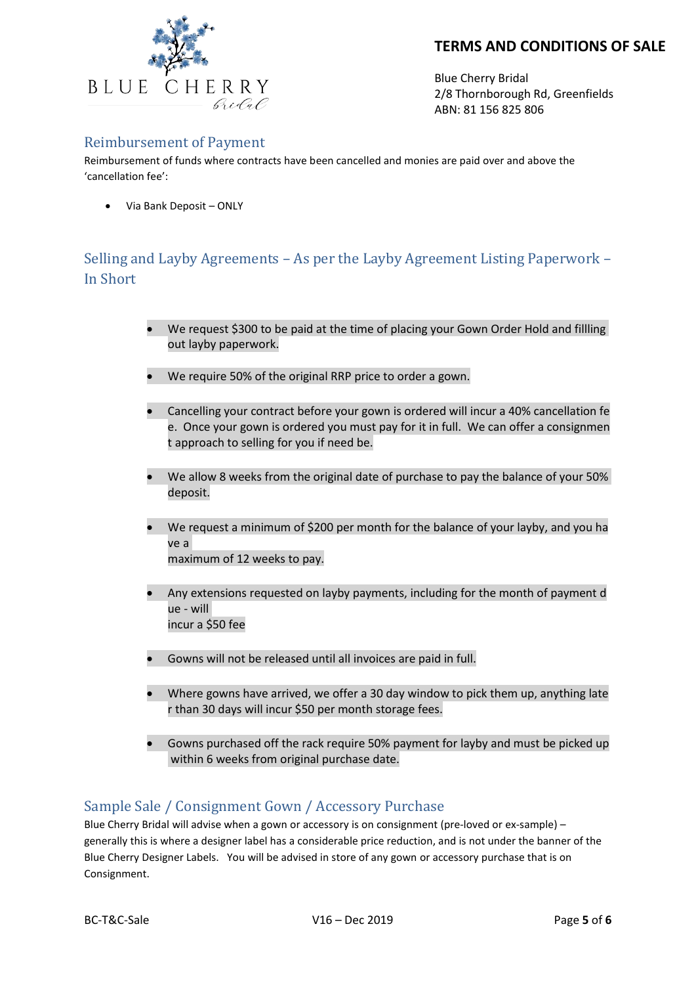

<span id="page-4-2"></span><span id="page-4-0"></span>Blue Cherry Bridal 2/8 Thornborough Rd, Greenfields ABN: 81 156 825 806

#### Reimbursement of Payment

Reimbursement of funds where contracts have been cancelled and monies are paid over and above the 'cancellation fee':

• Via Bank Deposit – ONLY

# <span id="page-4-1"></span>Selling and Layby Agreements – As per the Layby Agreement Listing Paperwork – In Short

- We request \$300 to be paid at the time of placing your Gown Order Hold and fillling out layby paperwork.
- We require 50% of the original RRP price to order a gown.
- Cancelling your contract before your gown is ordered will incur a 40% cancellation fe e. Once your gown is ordered you must pay for it in full. We can offer a consignmen t approach to selling for you if need be.
- We allow 8 weeks from the original date of purchase to pay the balance of your 50% deposit.
- We request a minimum of \$200 per month for the balance of your layby, and you ha ve a maximum of 12 weeks to pay.
- Any extensions requested on layby payments, including for the month of payment d ue - will incur a \$50 fee
- Gowns will not be released until all invoices are paid in full.
- Where gowns have arrived, we offer a 30 day window to pick them up, anything late r than 30 days will incur \$50 per month storage fees.
- Gowns purchased off the rack require 50% payment for layby and must be picked up within 6 weeks from original purchase date.

# Sample Sale / Consignment Gown / Accessory Purchase

Blue Cherry Bridal will advise when a gown or accessory is on consignment (pre-loved or ex-sample) – generally this is where a designer label has a considerable price reduction, and is not under the banner of the Blue Cherry Designer Labels. You will be advised in store of any gown or accessory purchase that is on Consignment.